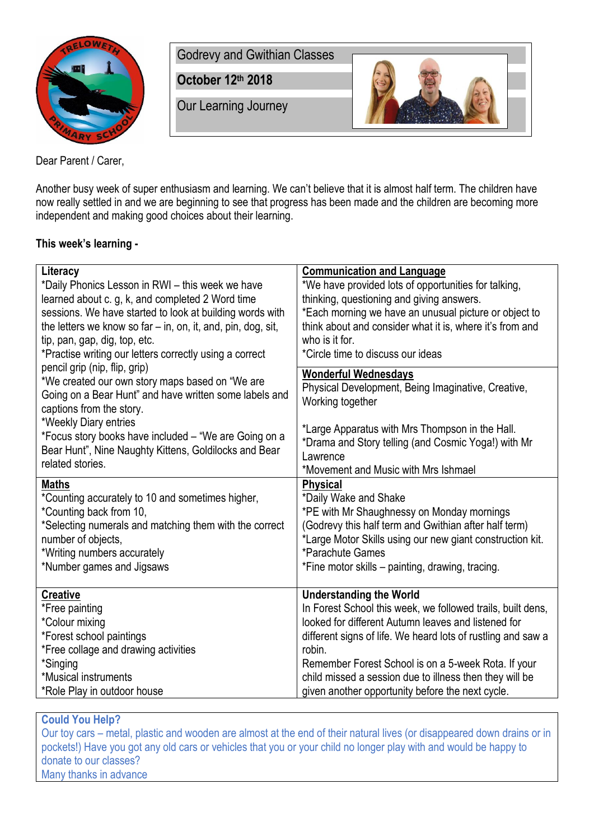

Godrevy and Gwithian Classes

**October 12th 2018**

Our Learning Journey



Dear Parent / Carer,

Another busy week of super enthusiasm and learning. We can't believe that it is almost half term. The children have now really settled in and we are beginning to see that progress has been made and the children are becoming more independent and making good choices about their learning.

## **This week's learning -**

| Literacy                                                                                                                                                               | <b>Communication and Language</b>                                                                     |
|------------------------------------------------------------------------------------------------------------------------------------------------------------------------|-------------------------------------------------------------------------------------------------------|
| *Daily Phonics Lesson in RWI - this week we have                                                                                                                       | *We have provided lots of opportunities for talking,                                                  |
| learned about c. g, k, and completed 2 Word time                                                                                                                       | thinking, questioning and giving answers.                                                             |
| sessions. We have started to look at building words with                                                                                                               | *Each morning we have an unusual picture or object to                                                 |
| the letters we know so far - in, on, it, and, pin, dog, sit,                                                                                                           | think about and consider what it is, where it's from and                                              |
| tip, pan, gap, dig, top, etc.                                                                                                                                          | who is it for.                                                                                        |
| *Practise writing our letters correctly using a correct                                                                                                                | *Circle time to discuss our ideas                                                                     |
| pencil grip (nip, flip, grip)<br>*We created our own story maps based on "We are<br>Going on a Bear Hunt" and have written some labels and<br>captions from the story. | <b>Wonderful Wednesdays</b><br>Physical Development, Being Imaginative, Creative,<br>Working together |
| *Weekly Diary entries                                                                                                                                                  | *Large Apparatus with Mrs Thompson in the Hall.                                                       |
| *Focus story books have included - "We are Going on a                                                                                                                  | *Drama and Story telling (and Cosmic Yoga!) with Mr                                                   |
| Bear Hunt", Nine Naughty Kittens, Goldilocks and Bear                                                                                                                  | Lawrence                                                                                              |
| related stories.                                                                                                                                                       | *Movement and Music with Mrs Ishmael                                                                  |
| <b>Maths</b>                                                                                                                                                           | <b>Physical</b>                                                                                       |
| *Counting accurately to 10 and sometimes higher,                                                                                                                       | *Daily Wake and Shake                                                                                 |
| *Counting back from 10,                                                                                                                                                | *PE with Mr Shaughnessy on Monday mornings                                                            |
| *Selecting numerals and matching them with the correct                                                                                                                 | (Godrevy this half term and Gwithian after half term)                                                 |
| number of objects,                                                                                                                                                     | *Large Motor Skills using our new giant construction kit.                                             |
| *Writing numbers accurately                                                                                                                                            | *Parachute Games                                                                                      |
| *Number games and Jigsaws                                                                                                                                              | *Fine motor skills – painting, drawing, tracing.                                                      |
| <b>Creative</b>                                                                                                                                                        | <b>Understanding the World</b>                                                                        |
| *Free painting                                                                                                                                                         | In Forest School this week, we followed trails, built dens,                                           |
| *Colour mixing                                                                                                                                                         | looked for different Autumn leaves and listened for                                                   |
| *Forest school paintings                                                                                                                                               | different signs of life. We heard lots of rustling and saw a                                          |
| *Free collage and drawing activities                                                                                                                                   | robin.                                                                                                |
| *Singing                                                                                                                                                               | Remember Forest School is on a 5-week Rota. If your                                                   |
| *Musical instruments                                                                                                                                                   | child missed a session due to illness then they will be                                               |
| *Role Play in outdoor house                                                                                                                                            | given another opportunity before the next cycle.                                                      |

## **Could You Help?**

Our toy cars – metal, plastic and wooden are almost at the end of their natural lives (or disappeared down drains or in pockets!) Have you got any old cars or vehicles that you or your child no longer play with and would be happy to donate to our classes? Many thanks in advance